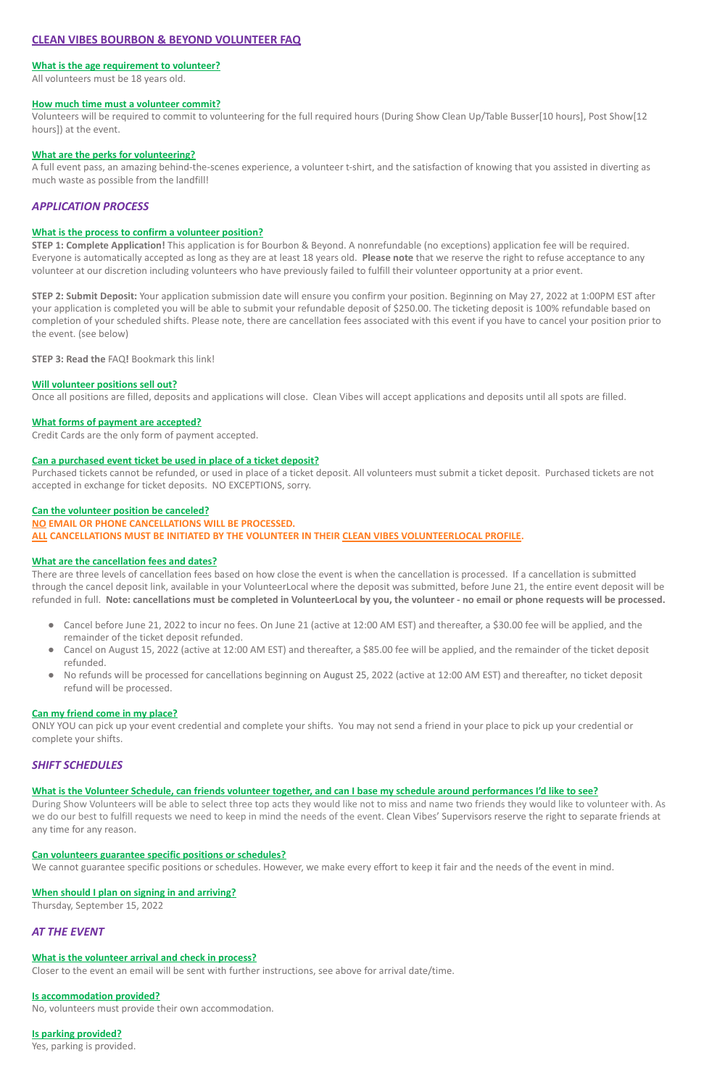# **CLEAN VIBES BOURBON & BEYOND VOLUNTEER FAQ**

## **What is the age requirement to volunteer?**

All volunteers must be 18 years old.

#### **How much time must a volunteer commit?**

Volunteers will be required to commit to volunteering for the full required hours (During Show Clean Up/Table Busser[10 hours], Post Show[12 hours]) at the event.

## **What are the perks for volunteering?**

A full event pass, an amazing behind-the-scenes experience, a volunteer t-shirt, and the satisfaction of knowing that you assisted in diverting as much waste as possible from the landfill!

# *APPLICATION PROCESS*

## **What is the process to confirm a volunteer position?**

**STEP 1: Complete Application!** This application is for Bourbon & Beyond. A nonrefundable (no exceptions) application fee will be required. Everyone is automatically accepted as long as they are at least 18 years old. **Please note** that we reserve the right to refuse acceptance to any volunteer at our discretion including volunteers who have previously failed to fulfill their volunteer opportunity at a prior event.

**STEP 2: Submit Deposit:** Your application submission date will ensure you confirm your position. Beginning on May 27, 2022 at 1:00PM EST after your application is completed you will be able to submit your refundable deposit of \$250.00. The ticketing deposit is 100% refundable based on completion of your scheduled shifts. Please note, there are cancellation fees associated with this event if you have to cancel your position prior to the event. (see below)

**STEP 3: Read the** FAQ**!** Bookmark this link!

# **Will volunteer positions sell out?**

- Cancel before June 21, 2022 to incur no fees. On June 21 (active at 12:00 AM EST) and thereafter, a \$30.00 fee will be applied, and the remainder of the ticket deposit refunded.
- Cancel on August 15, 2022 (active at 12:00 AM EST) and thereafter, a \$85.00 fee will be applied, and the remainder of the ticket deposit refunded.
- No refunds will be processed for cancellations beginning on August 25, 2022 (active at 12:00 AM EST) and thereafter, no ticket deposit refund will be processed.

Once all positions are filled, deposits and applications will close. Clean Vibes will accept applications and deposits until all spots are filled.

# **What forms of payment are accepted?**

Credit Cards are the only form of payment accepted.

# **Can a purchased event ticket be used in place of a ticket deposit?**

Purchased tickets cannot be refunded, or used in place of a ticket deposit. All volunteers must submit a ticket deposit. Purchased tickets are not accepted in exchange for ticket deposits. NO EXCEPTIONS, sorry.

#### **Can the volunteer position be canceled?**

#### **NO EMAIL OR PHONE CANCELLATIONS WILL BE PROCESSED.**

**ALL CANCELLATIONS MUST BE INITIATED BY THE VOLUNTEER IN THEIR CLEAN VIBES VOLUNTEERLOCAL PROFILE.**

# **What are the cancellation fees and dates?**

There are three levels of cancellation fees based on how close the event is when the cancellation is processed. If a cancellation is submitted through the cancel deposit link, available in your VolunteerLocal where the deposit was submitted, before June 21, the entire event deposit will be refunded in full. **Note: cancellations must be completed in VolunteerLocal by you, the volunteer - no email or phone requests will be processed.**

#### **Can my friend come in my place?**

ONLY YOU can pick up your event credential and complete your shifts. You may not send a friend in your place to pick up your credential or complete your shifts.

# *SHIFT SCHEDULES*

**What is the Volunteer Schedule, can friends volunteer together, and can I base my schedule around performances I'd like to see?**

During Show Volunteers will be able to select three top acts they would like not to miss and name two friends they would like to volunteer with. As we do our best to fulfill requests we need to keep in mind the needs of the event. Clean Vibes' Supervisors reserve the right to separate friends at any time for any reason.

## **Can volunteers guarantee specific positions or schedules?**

We cannot guarantee specific positions or schedules. However, we make every effort to keep it fair and the needs of the event in mind.

#### **When should I plan on signing in and arriving?**

Thursday, September 15, 2022

# *AT THE EVENT*

#### **What is the volunteer arrival and check in process?**

Closer to the event an email will be sent with further instructions, see above for arrival date/time.

## **Is accommodation provided?**

No, volunteers must provide their own accommodation.

# **Is parking provided?**

Yes, parking is provided.